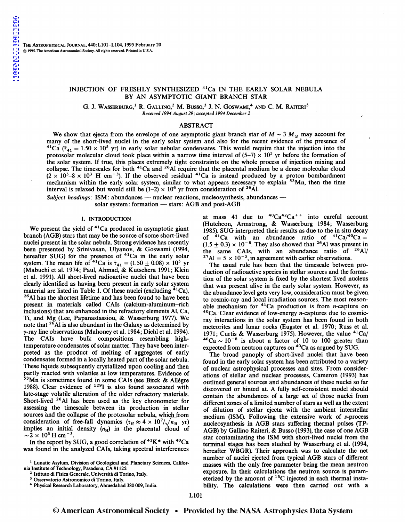## INJECTION OF FRESHLY SYNTHESIZED 41Ca IN THE EARLY SOLAR NEBULA BY AN ASYMPTOTIC GIANT BRANCH STAR

G. J. WASSERBURG,<sup>1</sup> R. GALLINO,<sup>2</sup> M. BUSSO,<sup>3</sup> J. N. GOSWAMI,<sup>4</sup> AND C. M. RAITERI<sup>3</sup> *Received 1994 August 29; accepted 1994 December 2* 

# ABSTRACT

We show that ejecta from the envelope of one asymptotic giant branch star of  $M \sim 3 M_{\odot}$  may account for many of the short-lived nuclei in the early solar system and also for the recent evidence of the presence of <sup>41</sup>Ca ( $\bar{\tau}_{41} = 1.50 \times 10^5$  yr) in early solar nebular condensates. This would require that the injection into the protosolar molecular cloud took place within a narrow time interval of  $(5-7) \times 10^5$  yr before the formation of the solar system. If true, this places extremely tight constraints on the whole process of injection mixing and collapse. The timescales for both  $4^1$ Ca and  $2^6$ Al require that the placental medium be a dense molecular cloud  $(2 \times 10^3 - 8 \times 10^3$  H cm<sup>-3</sup>). If the observed residual <sup>41</sup>Ca is instead produced by a proton bombardment mechanism within the early solar system, similar to what appears necessary to explain <sup>53</sup>Mn, then the time interval is relaxed but would still be  $(1-2) \times 10^6$  yr from consideration of <sup>26</sup>Al.

*Subject headings:* ISM: abundances — nuclear reactions, nucleosynthesis, abundances solar system: formation - stars: AGB and post-AGB

#### 1. INTRODUCTION

We present the yield of  $41$ Ca produced in asymptotic giant branch (AGB) stars that may be the source of some short-lived nuclei present in the solar nebula. Strong evidence has recently been presented by Srinivasan, Ulyanov, & Goswami (1994, hereafter SUG) for the presence of <sup>41</sup>Ca in the early solar system. The mean life of <sup>41</sup>Ca is  $\bar{\tau}_{41} = (1.50 \pm 0.08) \times 10^5$  yr (Mabuchi et al. 1974; Paul, Ahmad, & Kutschera 1991; Klem et al. 1991). All short-lived radioactive nuclei that have been clearly identified as having been present in early solar system material are listed in Table 1. Of these nuclei (excluding  $4^{1}Ca$ ),  $26$ Al has the shortest lifetime and has been found to have been present in materials called CAis (calcium-aluminum-rich inclusions) that are enhanced in the refractory elements AI, Ca, Ti, and Mg (Lee, Papanastassiou, & Wasserburg 1977). We note that  ${}^{26}$ Al is also abundant in the Galaxy as determined by  $\gamma$ -ray line observations (Mahoney et al. 1984; Diehl et al. 1994). The CAis have bulk compositions resembling hightemperature condensates of solar matter. They have been interpreted as the product of melting of aggregates of early condensates formed in a locally heated part of the solar nebula. These liquids subsequently crystallized upon cooling and then partly reacted with volatiles at low temperatures. Evidence of <sup>53</sup>Mn is sometimes found in some CAIs (see Birck & Allegre 1988). Clear evidence of  $129$ I is also found associated with late-stage volatile alteration of the older refractory materials. Short-lived <sup>26</sup>Al has been used as the key chronometer for assessing the timescale between its production in stellar sources and the collapse of the protosolar nebula, which from consideration of free-fall dynamics  $(\tau_{\rm ff} \approx 4 \times 10^7/\sqrt{n_{\rm H}})$  yr) implies an initial density  $(n_H)$  in the placental cloud of  $\sim$  2 × 10<sup>3</sup> H cm<sup>-3</sup>

In the report by SUG, a good correlation of  $41K^*$  with  $40Ca$ was found in the analyzed CAIs, taking spectral interferences

at mass 41 due to  ${}^{40}Ca^{42}Ca^{++}$  into careful account (Hutcheon, Armstrong, & Wasserburg 1984; Wasserburg 1985). SUG interpreted their results as due to the in situ decay of  $4^1$ Ca with an abundance ratio of  $4^1$ Ca $/4^0$ Ca =  $(1.5 \pm 0.3) \times 10^{-8}$ . They also showed that <sup>26</sup>Al was present in the same CAIs, with an abundance ratio of <sup>26</sup>Al/ <sup>27</sup>Al =  $5 \times 10^{-5}$ , in agreement with earlier observations.

The usual rule has been that the timescale between production of radioactive species in stellar sources and the formation of the solar system is fixed by the shortest lived nucleus that was present alive in the early solar system. However, as the abundance level gets very low, consideration must be given. to cosmic-ray and local irradiation sources. The most reasonable mechanism for  ${}^{41}Ca$  production is from *n*-capture on  ${}^{40}Ca$ . Clear evidence of low-energy *n*-captures due to cosmicray interactions in the solar system has been found in both meteorites and lunar rocks (Eugster et al. 1970; Russ et al. 1971; Curtis & Wasserburg 1975). However, the value  $^{41}Ca/$  $10^{40}Ca \sim 10^{-8}$  is about a factor of 10 to 100 greater than expected from neutron captures on <sup>40</sup>Ca as argued by SUG.

The broad panoply of short-lived nuclei that have been found in the early solar system has been attributed to a variety of nuclear astrophysical processes and sites. From considerations of stellar and nuclear processes, Cameron (1993) has outlined general sources and abundances of these nuclei so far discovered or hinted at. A fully self-consistent model should contain the abundances of a large set of those nuclei from different zones of a limited number of stars as well as the extent of dilution of stellar ejecta with the ambient interstellar medium (ISM). Following the extensive work of s-process nucleosynthesis in AGB stars suffering thermal pulses (TP-AGB) by Gallino Raiteri, & Busso (1993), the case of one AGB star contaminating the ISM with short-lived nuclei from the terminal stages has been studied by Wasserburg et al. (1994, hereafter WBGR). Their approach was to calculate the net number of nuclei ejected from typical AGB stars of different masses with the only free parameter being the mean neutron exposure. In their calculations the neutron source is parameterized by the amount of  $^{13}$ C injected in each thermal instability. The calculations were then carried out with a

<sup>&</sup>lt;sup>1</sup> Lunatic Asylum, Division of Geological and Planetary Sciences, California Institute of Technology, Pasadena, CA 91125.<br>
<sup>2</sup> Istituto di Fisica Generale, Università di Torino, Italy.<br>
<sup>3</sup> Osservatorio Astronomico di Torino, Italy.<br>
<sup>4</sup> Physical Research Laboratory, Ahmedabad 380 009, India.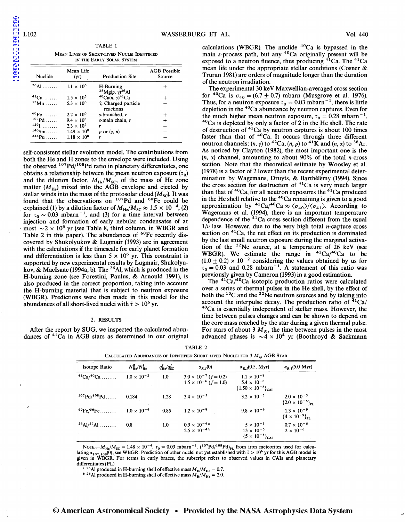TABLE 1 MEAN LIVES OF SHORT-LIVED NUCLEI IDENTIFIED IN THE EARLY SOLAR SYSTEM

| Mean Life<br>Nuclide<br>(yr)  |                      | <b>Production Site</b>                                       | <b>AGB</b> Possible<br>Source |  |
|-------------------------------|----------------------|--------------------------------------------------------------|-------------------------------|--|
| $^{26}$ Al                    | $1.1 \times 10^{6}$  | H-Burning<br><sup>25</sup> Mg(p, $\gamma$ ) <sup>26</sup> Al | $^{\mathrm{+}}$               |  |
| $41$ Ca                       | $1.5 \times 10^{5}$  | ${}^{40}Ca(n, \gamma)^{41}Ca$                                |                               |  |
| $53$ Mn                       | $5.3 \times 10^{6}$  | ?, Charged particle<br>reactions                             |                               |  |
| $^{60}Fe$                     | $2.2 \times 10^{6}$  | s-branched, r                                                |                               |  |
| $107Pd$                       | $9.4 \times 10^{6}$  | $s$ -main chain, $r$                                         | ┿                             |  |
| 129 <sub>I</sub><br>1.1.1.1.1 | $2.3 \times 10^{7}$  | r                                                            |                               |  |
| $146$ Sm                      | $1.49 \times 10^{8}$ | p or $(\gamma, n)$                                           |                               |  |
| $244$ Pu                      | $1.18 \times 10^{8}$ | r                                                            |                               |  |

self-consistent stellar evolution model. The contributions from both the He and H zones to the envelope were included. Using the observed <sup>107</sup>Pd/<sup>108</sup>Pd ratio in planetary differentiates, one obtains a relationship between the mean neutron exposure  $(\tau_0)$ and the dilution factor,  $M_{He}/M_{SC}$ , of the mass of He zone matter  $(M_{\text{He}})$  mixed into the AGB envelope and ejected by stellar winds into the mass of the protosolar cloud  $(M_{\rm sc})$ . It was found that the observations on  $107Pd$  and  $60Fe$  could be explained (1) by a dilution factor of  $M_{\text{He}}/M_{\text{SC}} \approx 1.5 \times 10^{-4}$ , (2) for  $\tau_0 \sim 0.03$  mbarn<sup>-1</sup>, and (3) for a time interval between injection and formation of early nebular condensates of at most  $\sim$  2 x 10<sup>6</sup> yr (see Table 8, third column, in WBGR and Table 2 in this paper). The abundances of  ${}^{60}Fe$  recently discovered by Shukolyukov & Lugmair (1993) are in agreement with the calculations if the timescale for early planet formation and differentiation is less than  $5 \times 10^6$  yr. This constraint is supported by new experimental results by Lugmair, Shukolyukov, & MacIsaac (1994a, b). The <sup>26</sup>Al, which is produced in the H-burning zone (see Forestini, Paulus, & Arnould 1991), is also produced in the correct proportion, taking into account the H-burning material that is subject to neutron exposure (WBGR). Predictions were then made in this model for the abundances of all short-lived nuclei with  $\bar{\tau} > 10^6$  yr.

### 2. RESULTS

After the report by SUG, we inspected the calculated abundances of <sup>41</sup>Ca in AGB stars as determined in our original

calculations (WBGR). The nuclide  $40$ Ca is bypassed in the main s-process path, but any  $40$ Ca originally present will be exposed to a neutron fluence, thus producing  $4^1$ Ca. The  $4^1$ Ca mean life under the appropriate stellar conditions (Cosner & Truran 1981) are orders of magnitude longer than the duration of the neutron irradiation.

The experimental 30 keV Maxwellian-averaged cross section for <sup>40</sup>Ca is  $\sigma_{40} = (6.7 \pm 0.7)$  mbarn (Musgrove et al. 1976). Thus, for a neutron exposure  $\tau_0 = 0.03$  mbarn<sup>-1</sup>, there is little depletion in the  $40$ Ca abundance by neutron captures. Even for the much higher mean neutron exposure,  $\tau_0 = 0.28$  mbarn<sup>-1</sup>,  $40$ Ca is depleted by only a factor of 2 in the He shell. The rate of destruction of  $4^1$ Ca by neutron captures is about 100 times faster than that of  ${}^{40}$ Ca. It occurs through three different neutron channels:  $(n, \gamma)$  to <sup>42</sup>Ca,  $(n, p)$  to <sup>41</sup>K and  $(n, \alpha)$  to <sup>38</sup>Ar. As noticed by Clayton (1982), the most important one is the  $(n, \alpha)$  channel, amounting to about 90% of the total n-cross section. Note that the theoretical estimate by Woosley et al. (1978) is a factor of 2lower than the recent experimental determination by Wagemans, Druyts, & Barthélémy (1994). Since the cross section for destruction of <sup>41</sup>Ca is very much larger than that of  ${}^{40}Ca$ , for all neutron exposures the  ${}^{41}Ca$  produced in the He shell relative to the  $40$ Ca remaining is given to a good approximation by <sup>41</sup>Ca/<sup>40</sup>Ca  $\approx \langle \sigma_{40} \rangle / \langle \sigma_{41} \rangle$ . According to Wagemans et al. (1994), there is an important temperature dependence of the  $41$ Ca cross section different from the usual  $1/v$  law. However, due to the very high total *n*-capture cross section on <sup>41</sup>Ca, the net effect on its production is dominated by the last small neutron exposure during the marginal activa tion of the  $22$ Ne source, at a temperature of 26 keV (see WBGR). We estimate the range in  $4^1$ Ca/ $4^0$ Ca to be  $(1.0 \pm 0.2) \times 10^{-2}$  considering the values obtained by us for  $\tau_0 = 0.03$  and 0.28 mbarn<sup>-1</sup>. A statement of this ratio was previously given by Cameron (1993) in a good estimation.

The  $41\text{Ca}/40\text{Ca}$  isotopic production ratios were calculated over a series of thermal pulses in the He shell, by the effect of both the <sup>13</sup>C and the <sup>22</sup>Ne neutron sources and by taking into account the interpulse decay. The production ratio of <sup>41</sup>Ca/  $40$ Ca is essentially independent of stellar mass. However, the time between pulses changes and can be shown to depend on the core mass reached by the star during a given thermal pulse. For stars of about 3  $M_{\odot}$ , the time between pulses in the most advanced phases is  $\sim 4 \times 10^4$  yr (Boothroyd & Sackmann

| Isotope Ratio                | $N_{\rm He}^R/N_{\rm He}^I$ | $q_{\rm He}^I/q_{\rm SC}^I$ | $\alpha_{R,I}(0)$                                                  | $\alpha_{R,I}(0.5, \text{ Myr})$                                              | $\alpha_{R,I}$ (5.0 Myr)                            |
|------------------------------|-----------------------------|-----------------------------|--------------------------------------------------------------------|-------------------------------------------------------------------------------|-----------------------------------------------------|
| $^{41}Ca/^{40}Ca$            | $1.0 \times 10^{-2}$        | 1.0                         | $3.0 \times 10^{-7}$ (f = 0.2)<br>$1.5 \times 10^{-6}$ $(f = 1.0)$ | $1.1 \times 10^{-8}$<br>$5.4 \times 10^{-8}$<br>${1.50 \times 10^{-8}}_{CAI}$ |                                                     |
| $^{107}Pd/^{108}Pd$          | 0.184                       | 1.28                        | $3.4 \times 10^{-5}$                                               | $3.2 \times 10^{-5}$                                                          | $2.0 \times 10^{-5}$<br>${2.0 \times 10^{-5}}_{PL}$ |
| ${}^{60}Fe/{}^{56}Fe$        | $1.0 \times 10^{-4}$        | 0.85                        | $1.2 \times 10^{-8}$                                               | $9.8 \times 10^{-9}$                                                          | $1.3 \times 10^{-9}$<br>${4 \times 10^{-9}}_{PL}$   |
| $^{26}$ Al/ <sup>27</sup> Al | 0.8                         | 1.0                         | $0.9 \times 10^{-4}$ <sup>a</sup><br>$2.5 \times 10^{-4}$          | $5 \times 10^{-5}$<br>$15 \times 10^{-5}$<br>${5 \times 10^{-5}}_{CAI}$       | $0.7 \times 10^{-6}$<br>$2\times10^{-6}$            |

TABLE 2 CALCULATED ABUNDANCES OF IDENTIFIED SHORT-LIVED NUCLEI FOR  $3 M_{\odot}$  AGB STAR

NOTE.— $M_{\text{He}}/M_{\text{SC}} = 1.48 \times 10^{-4}$ ,  $\tau_0 = 0.03 \text{ mbar}^{-1}$ . ( $107 \text{ Pd}/108 \text{ Pd}$ )<sub>PL</sub> from iron meteorites used for calculating  $\alpha_{107,108} (0)$ ; see WBGR. Prediction of other nuclei not yet established with  $\bar{\tau} > 10^6$  yr for this AGB model is given in WBGR. For terms in curly braces, the subscript refers to observed values in CAIs and planetary differentiates (PL).

<sup>a 26</sup>Al produced in H-burning shell of effective mass  $M_H/M_{He} = 0.7$ .

<sup>b</sup> <sup>26</sup>Al produced in H-burning shell of effective mass  $M_H/M_{He} = 2.0$ .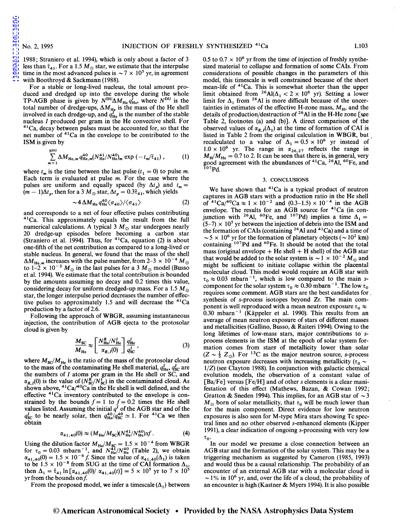[1995ApJ...440L.101W](http://adsabs.harvard.edu/abs/1995ApJ...440L.101W)

MI01.1014 .... ..d48861

1988; Straniero et al. 1994), which is only about a factor of 3 less than  $\bar{\tau}_{41}$ . For a 1.5  $M_{\odot}$  star, we estimate that the interpulse time in the most advanced pulses is  $\sim$  7  $\times$  10<sup>5</sup> yr, in agreement with Boothroyd & Sackmann (1988).

For a stable or long-lived nucleus, the total amount produced and dredged up into the envelope during the whole TP-AGB phase is given by  $N^{DU}\Delta M_{He}q_{He}^{l}$ , where  $N^{DU}$  is the total number of dredge-ups,  $\Delta M_{\text{He}}$  is the mass of the He shell involved in each dredge-up, and  $q_{\text{He}}^I$  is the number of the stable nucleus I produced per gram in the He convective shell. For  $41$ Ca, decay between pulses must be accounted for, so that the net number of 41Ca in the envelope to be contributed to the ISM is given by

$$
\sum_{m=1}^{N^{DU}} \Delta M_{\text{He},m} q_{\text{He},m}^{40} (N_{\text{He}}^{41}/N_{\text{He}}^{40})_m \exp(-t_m/\bar{\tau}_{41}), \qquad (1)
$$

where  $t_m$  is the time between the last pulse  $(t_1 = 0)$  to pulse *m*. Each term is evaluated at pulse *m.* For the case where the pulses are uniform and equally spaced (by  $\Delta t_p$ ) and  $t_m =$  $(m-1)\Delta t_p$ , then for a 3  $M_{\odot}$  star,  $\Delta t_p = 0.3\overline{\tau}_{41}$ , which yields

$$
\sim 4 \Delta M_{\text{He}} q_{\text{He}}^{40} \langle \sigma_{40} \rangle / \langle \sigma_{41} \rangle \tag{2}
$$

and corresponds to a net of four effective pulses contributing <sup>41</sup>Ca. This approximately equals the result from the full numerical calculations. A typical 3  $M_{\odot}$  star undergoes nearly 20 dredge-up episodes before becoming a carbon star (Straniero et al. 1994). Thus, for  $4^1$ Ca, equation (2) is about one-fifth of the net contribution as compared to a long-lived or stable nucleus. In general, we found that the mass of the shell  $\Delta M_{\text{He},m}$  increases with the pulse number, from 2-3  $\times$  10<sup>-4</sup> M<sub>o</sub> to  $1-2 \times 10^{-3} M_{\odot}$  in the last pulses for a 3  $M_{\odot}$  model (Busso et al. 1994). We estimate that the total contribution is bounded by the amounts assuming no decay and 0.2 times this value, considering decay for uniform dredged-up mass. For a 1.5  $M_{\odot}$ star, the longer interpulse period decreases the number of effective pulses to approximately 1.5 and will decrease the  $41Ca$ production by a factor of 2.6.

Following the approach of WBGR, assuming instantaneous injection, the contribution of AGB ejecta to the protosolar cloud is given by

$$
\frac{M_{\rm SC}}{M_{\rm He}} \approx \left[ \frac{N_{\rm He}^R / N_{\rm He}^I}{\alpha_{R,I}(0)} \right] \frac{q_{\rm He}^I}{q_{\rm SC}^I},\tag{3}
$$

where  $M_{\text{SC}}/M_{\text{He}}$  is the ratio of the mass of the protosolar cloud to the mass of the contaminating He shell material,  $q_{\text{He}}^I$ ,  $q_{\text{SC}}^I$  are the numbers of  $I$  atoms per gram in the He shell or SC, and  $\alpha_{R,I}(0)$  is the value of  $(N_{\rm SC}^R/N_{\rm SC}^I)$  in the contaminated cloud. As shown above,  ${}^{41}Ca/{}^{40}Ca$  in the He shell is well defined, and the effective 41Ca inventory contributed to the envelope is constrained by the bounds  $f = 1$  to  $f = 0.2$  times the He shell values listed. Assuming the initial  $q<sup>I</sup>$  of the AGB star and of the  $q_{\rm sc}^I$  to be nearly solar, then  $q_{\rm He}^{40}/q_{\rm SC}^{40} \simeq 1$ . For <sup>41</sup>Ca we then obtain

$$
\alpha_{41,40}(0) \approx (M_{\rm He}/M_{\rm SC})(N_{\rm He}^{41}/N_{\rm He}^{40})xf. \tag{4}
$$

Using the dilution factor  $M_{\text{He}}/M_{\text{SC}} = 1.5 \times 10^{-4}$  from WBGR for  $\tau_0 = 0.03$  mbarn<sup>-1</sup>, and  $N_{\text{He}}^{41}/N_{\text{He}}^{40}$  (Table 2), we obtain  $\alpha_{41,40}(0) = 1.5 \times 10^{-6}$  f. Since the value of  $\alpha_{41,40}(\Delta_1)$  is taken to be  $1.5 \times 10^{-8}$  from SUG at the time of CAI formation  $\Delta_1$ , then  $\Delta_1 = \bar{\tau}_{41} \ln [\alpha_{41,40}(0)/ \alpha_{41,40}(t)] = 5 \times 10^5$  yr to  $7 \times 10^5$ yr from the bounds *onf* 

From the proposed model, we infer a timescale  $(\Delta_1)$  between

0.5 to 0.7  $\times$  10<sup>6</sup> yr from the time of injection of freshly synthesized material to collapse and formation of some CAis. From considerations of possible changes in the parameters of this model, this timescale is well constrained because of the short mean-life of 41Ca. This is somewhat shorter than the upper limit obtained from <sup>26</sup>Al( $\Delta_1$  < 2 × 10<sup>6</sup> yr). Setting a lower limit for  $\Delta_1$  from <sup>26</sup>Al is more difficult because of the uncertainties in estimates of the effective H-zone mass,  $M_H$ , and the details of production/destruction of 26 AI in the H-He zone [see Table 2, footnotes (a) and (b)]. A direct comparison of the observed values of  $\alpha_{R,i}(\Delta_1)$  at the time of formation of CAI is listed in Table 2 from the original calculation in WBGR, but recalculated to a value of  $\Delta_1 = 0.5 \times 10^6$  yr instead of  $1.0 \times 10^6$  yr. The range in  $\alpha_{26,27}$  reflects the range in  $M_H/M_{\text{He}} = 0.7$  to 2. It can be seen that there is, in general, very good agreement with the abundances of  ${}^{41}Ca$ ,  ${}^{26}\text{Al}$ ,  ${}^{60}\text{Fe}$ , and  $107Pd$ .

### 3. CONCLUSIONS

We have shown that  $4^1$ Ca is a typical product of neutron captures in AGB stars with a production ratio in the He shell of  $4^{1}Ca/4^{0}Ca \approx 1 \times 10^{-2}$  and  $(0.3-1.5) \times 10^{-4}$  in the AGB envelope. The results for an AGB source for  $4^1$ Ca (in conjunction with <sup>26</sup>Al, <sup>60</sup>Fe, and <sup>107</sup>Pd) implies a time  $\Delta_1$  =  $(5-7) \times 10^5$  yr between the injection of debris into the ISM and the formation of CAIs (containing  $2<sup>6</sup>$ Al and  $4<sup>1</sup>$ Ca) and a time of  $\sim$  5  $\times$  10<sup>6</sup> yr for the formation of planetary objects ( $\sim$  10<sup>2</sup> km) containing <sup>107</sup>Pd and <sup>60</sup>Fe. It should be noted that the total mass (original envelope  $+$  He shell  $+$  H shell) of the AGB star that would be added to the solar system is  $\sim 1 \times 10^{-2} M_{\odot}$  and might be sufficient to initiate collapse within the placental molecular cloud. This model would require an AGB star with  $\tau_0 \approx 0.03$  mbarn<sup>-1</sup>, which is low compared to the main *s*component for the solar system  $\tau_0 \approx 0.30$  mbarn<sup>-1</sup>. The low  $\tau_0$ requires some comment. AGB stars are the best candidates for. synthesis of s-process isotopes beyond Zr. The main component is well reproduced with a mean neutron exposure  $\tau_0 \approx$ 0.30 mbarn<sup> $-1$ </sup> (Käppeler et al. 1990). This results from an average of mean neutron exposure of stars of different masses and metallicities (Gallino, Busso, & Raiteri 1994). Owing to the long lifetimes of low-mass stars, major contributions to *s*process elements in the ISM at the epoch of solar system formation comes from stars of metallicity lower than solar  $(Z \sim \frac{1}{3} Z_{\odot})$ . For <sup>13</sup>C as the major neutron source, s-process neutron exposure decreases with increasing metallicity ( $\tau_0 \sim$ 1/Z) (see Clayton 1988). In conjunction with galactic chemical evolution models, the observation of a constant value of  $[Ba/Fe]$  versus  $[Fe/H]$  and of other s elements is a clear manifestation of this effect (Mathews, Bazan, & Cowan 1992; Gratton & Sneden 1994). This implies, for an AGB star of  $\sim$  3  $M_{\odot}$  born of solar metallicity, that  $\tau_0$  will be much lower than for the main component. Direct evidence for low neutron exposures is also seen for M-type Mira stars showing Tc spectral lines and no other observed s-enhanced elements (Kipper 1991), a clear indication of ongoing s-processing with very low  $\tau_{0}$ .

In our model we presume a close connection between an AGB star and the formation of the solar system. This may be a triggering mechanism as suggested by Cameron (1985, 1993) and would thus be a causal relationship. The probability of an encounter of an external AGB star with a molecular cloud is  $\sim$  1% in 10<sup>6</sup> yr, and, over the life of a cloud, the probability of an encounter is high (Kastner & Myers 1994). It is also possible